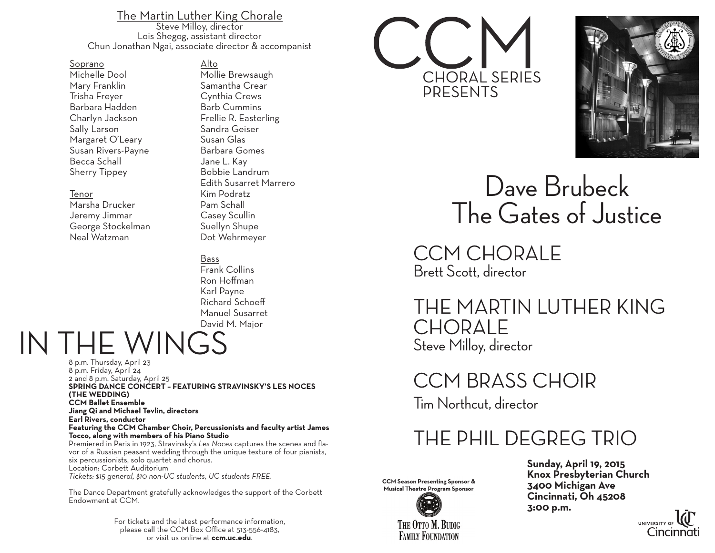The Martin Luther King Chorale<br>Steve Milloy, director Lois Shegog, assistant director Chun Jonathan Ngai, associate director & accompanist

Alto

Soprano Michelle Dool Mary Franklin Trisha Freyer Barbara Hadden Charlyn Jackson Sally Larson Margaret O'Leary Susan Rivers-Payne Becca Schall Sherry Tippey

### Tenor

Marsha Drucker Jeremy Jimmar George Stockelman Neal Watzman

Mollie Brewsaugh Samantha Crear Cynthia Crews Barb Cummins Frellie R. Easterling Sandra Geiser Susan Glas Barbara Gomes Jane L. Kay Bobbie Landrum Edith Susarret Marrero Kim Podratz Pam Schall Casey Scullin Suellyn Shupe Dot Wehrmeyer

## Bass

Frank Collins Ron Hoffman Karl Payne Richard Schoeff Manuel Susarret David M. Major

IN THE WINGS

8 p.m. Thursday, April 23 8 p.m. Friday, April 24 2 and 8 p.m. Saturday, April 25 **SPRING DANCE CONCERT – FEATURING STRAVINSKY'S LES NOCES (THE WEDDING) CCM Ballet Ensemble Jiang Qi and Michael Tevlin, directors Earl Rivers, conductor Featuring the CCM Chamber Choir, Percussionists and faculty artist James Tocco, along with members of his Piano Studio** vor of a Russian peasant wedding through the unique texture of four pianists, six percussionists, solo quartet and chorus. Location: Corbett Auditorium *Tickets: \$15 general, \$10 non-UC students, UC students FREE.*

The Dance Department gratefully acknowledges the support of the Corbett Endowment at CCM.

> For tickets and the latest performance information, please call the CCM Box Office at 513-556-4183, or visit us online at **ccm.uc.edu**.





# Dave Brubeck The Gates of Justice

CCM CHORALE Brett Scott, director

# THE MARTIN LUTHER KING **CHORALE** Steve Milloy, director

CCM BRASS CHOIR Tim Northcut, director

# THE PHIL DEGREG TRIO



Sunday, April 19, 2015<br>
In Presenting Sponsor & Knox Presbyterian Church<br>
3400 Michigan Ave Cincinnati, Oh 45208<br>
3:00 p.m.



**FAMILY FOUNDATION**